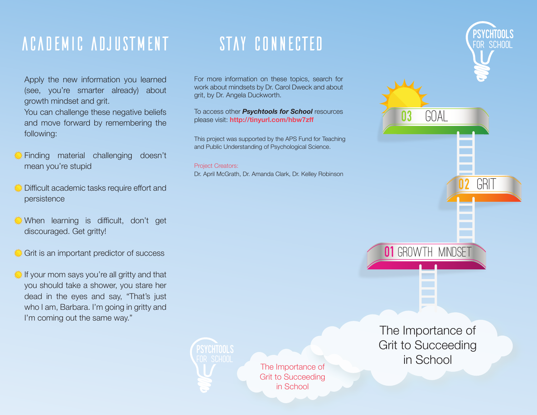## ACADEMIC ADJUSTMENT

Apply the new information you learned (see, you're smarter already) about growth mindset and grit.

You can challenge these negative beliefs and move forward by remembering the following:

- Einding material challenging doesn't mean you're stupid
- Difficult academic tasks require effort and persistence
- When learning is difficult, don't get discouraged. Get gritty!
- Grit is an important predictor of success
- If your mom says you're all gritty and that you should take a shower, you stare her dead in the eyes and say, "That's just who I am, Barbara. I'm going in gritty and I'm coming out the same way."

## STAY CONNECTED

For more information on these topics, search for work about mindsets by Dr. Carol Dweck and about grit, by Dr. Angela Duckworth.

To access other **Psychtools for School** resources please visit: http://tinyurl.com/hbw7zff

This project was supported by the APS Fund for Teaching and Public Understanding of Psychological Science.

### **Project Creators:**

Dr. April McGrath, Dr. Amanda Clark, Dr. Kelley Robinson

The Importance of **Grit to Succeeding** in School

The Importance of **Grit to Succeeding** in School

**01 GROWTH MINDSET** 

GOAL

03

FOR SCHOOL

GRIT